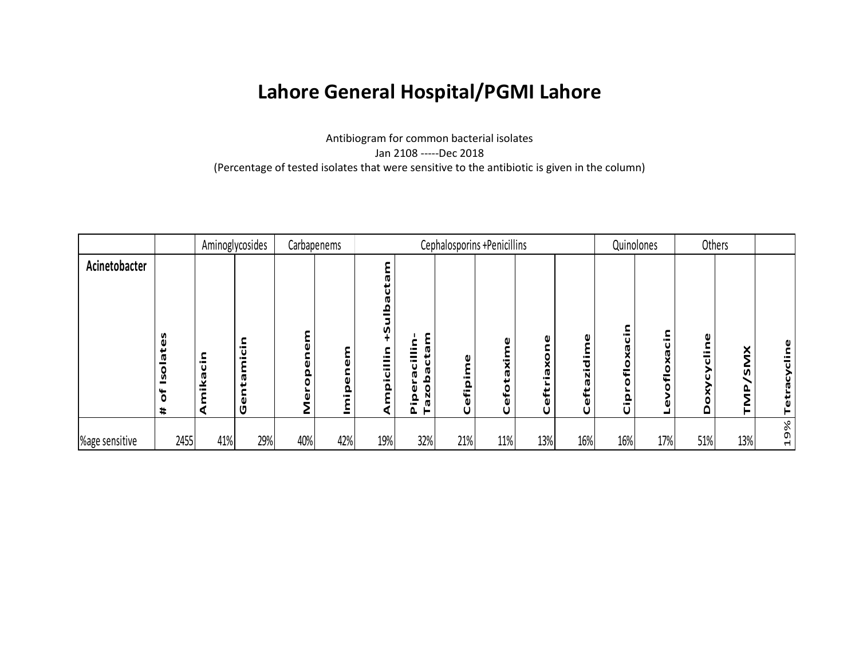## **Lahore General Hospital/PGMI Lahore**

Antibiogram for common bacterial isolates Jan 2108 -----Dec 2018 (Percentage of tested isolates that were sensitive to the antibiotic is given in the column)

|                |                                                         |                             | Aminoglycosides |     | Carbapenems          |                                                                                                            |                                                                                              | Cephalosporins +Penicillins |                                |                                              |                                                        |                                                             | Quinolones                                        |                          | Others                |                                    |
|----------------|---------------------------------------------------------|-----------------------------|-----------------|-----|----------------------|------------------------------------------------------------------------------------------------------------|----------------------------------------------------------------------------------------------|-----------------------------|--------------------------------|----------------------------------------------|--------------------------------------------------------|-------------------------------------------------------------|---------------------------------------------------|--------------------------|-----------------------|------------------------------------|
| Acinetobacter  | es<br>ىد<br><b>ID</b><br>٥<br>౨<br>4<br>Ö<br>$\ddagger$ | Ē<br>$\mathbf{u}$<br>⊻<br>σ | U               | Q   | Q,<br>$\blacksquare$ | Ø<br>ſŢ.<br>n<br>c<br>$\blacksquare$<br>-<br>$\overline{\overline{a}}$<br>$\blacksquare$<br>$\pmb{\Omega}$ | ε<br>$\overline{\phantom{0}}$<br>ن<br>ه<br>U<br>≏<br>$\circ$<br>۵<br>σg<br>Q<br>į<br>►<br>Δ. | O<br>Cefipim                | a<br>٤<br>X<br>۱Ō<br>efot<br>Ũ | X<br><b>ID</b><br>$\blacksquare$<br>eft<br>U | o<br>$\overline{\phantom{a}}$<br>ъ<br>Ñ<br>π<br>Ò<br>U | $\blacksquare$<br>U<br>o<br>ـــ<br>Q<br>$\blacksquare$<br>U | $\overline{\phantom{0}}$<br>U<br>û<br>O<br>c<br>۵ | O<br>$\blacksquare$<br>Δ | $\geq$<br>n<br>ւ<br>▃ | ō<br>Tetracy                       |
| %age sensitive | 2455                                                    | 41%                         | 29%             | 40% | 42%                  | 19%                                                                                                        | 32%                                                                                          | 21%                         | 11%                            | 13%                                          | 16%                                                    | 16%                                                         | 17%                                               | 51%                      | 13%                   | $\%$<br>O)<br>$\blacktriangleleft$ |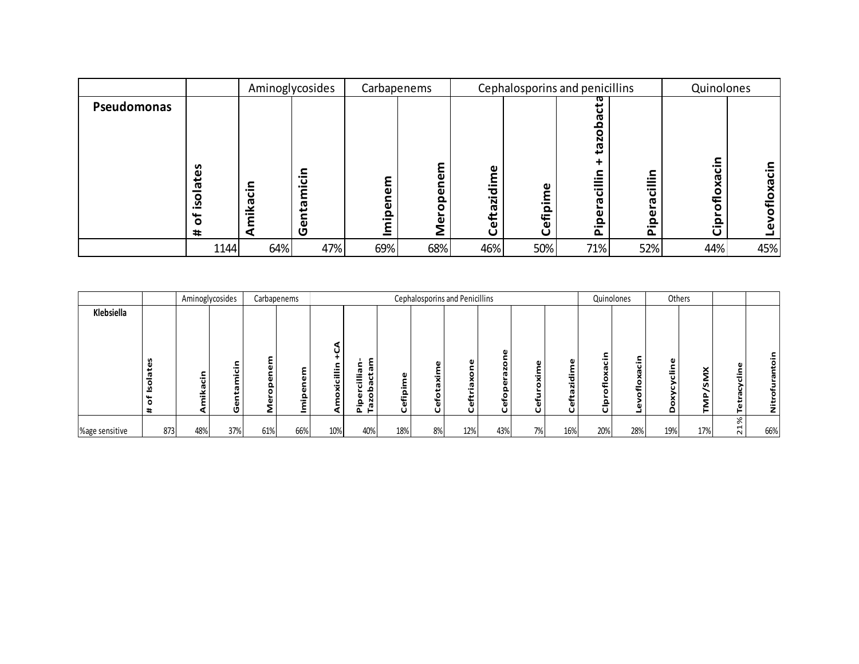|             |                                            |               | Aminoglycosides                              |             | Carbapenems                            |                                   |                               | Cephalosporins and penicillins                             |                                                                                               | Quinolones                                               |                  |
|-------------|--------------------------------------------|---------------|----------------------------------------------|-------------|----------------------------------------|-----------------------------------|-------------------------------|------------------------------------------------------------|-----------------------------------------------------------------------------------------------|----------------------------------------------------------|------------------|
| Pseudomonas | စိ<br>ā<br>O<br><u>ي</u><br>O<br>$\ddot{}$ | ⊆<br>aci<br>⊻ | ⊆<br>$\cdot$ $-$<br>ပ<br>$\cdot$<br>ឡ<br>Gen | ω<br>٥<br>ൎ | ٤<br>ω<br>ω<br>ൎ<br>$\circ$<br>Mer<br> | Φ<br>٤<br>$\cdot$<br>eftazid<br>U | ω<br>≦.<br>ൎ<br>∉<br>$\omega$ | ω<br>ى<br>ത<br>o<br>ര<br>ى<br>≔<br>ပ<br>ത<br>o.<br>._<br>௳ | ⊆<br>$\overline{\phantom{0}}$<br>$=$<br>$\mathbf \omega$<br>ᠭᠣ<br>ω<br>௨<br>$\cdot$<br>$\sim$ | c<br>$\cdot$<br>ofloxac<br><u>۾</u><br>$\mathbf{\omega}$ | $\cdot$ $-$<br>ပ |
|             | 1144                                       | 64%           | 47%                                          | 69%         | 68%                                    | 46%                               | 50%                           | 71%                                                        | 52%                                                                                           | 44%                                                      | 45%              |

|                |                     |     | Aminoglycosides                                 |        | Carbapenems |                               |                                                              |                                                      |                         | Cephalosporins and Penicillins |         |             |              |                                   | Quinolones |     | Others      |                               |     |
|----------------|---------------------|-----|-------------------------------------------------|--------|-------------|-------------------------------|--------------------------------------------------------------|------------------------------------------------------|-------------------------|--------------------------------|---------|-------------|--------------|-----------------------------------|------------|-----|-------------|-------------------------------|-----|
| Klebsiella     |                     |     |                                                 |        |             |                               |                                                              |                                                      |                         |                                |         |             |              |                                   |            |     |             |                               |     |
|                | <b>S</b><br>ω<br>11 | 5   | $-1$<br>ω<br>$\overline{\phantom{0}}$<br>œ<br>o | ۵<br>c | =           | ÷<br>-<br>$=$<br>U<br>×.<br>٥ | œ<br>π<br>œ<br>-<br>ᆖ<br>ത<br>£<br>N<br>은.<br><b>O</b><br>ը, | $\mathbf \omega$<br>$\overline{\phantom{0}}$<br>efjp | A)<br>σ<br>٥<br>۴ō<br>O | ×<br>Ω.<br>툽<br>O              | G)<br>÷ | ω<br>륯<br>σ | ㅎ<br>'n<br>O | $-$<br>ت<br>Ō<br>٥<br>¢<br>=<br>U | ._<br>O    | ω   | ×<br>≕<br>n | ω<br>등<br>€.                  |     |
| %age sensitive | 873                 | 48% | 37%                                             | 61%    | 66%         | 10%                           | 40%                                                          | 18%                                                  | 8%                      | 12%                            | 43%     | 7%          | 16%          | 20%                               | 28%        | 19% | 17%         | %<br>$\overline{ }$<br>$\sim$ | 66% |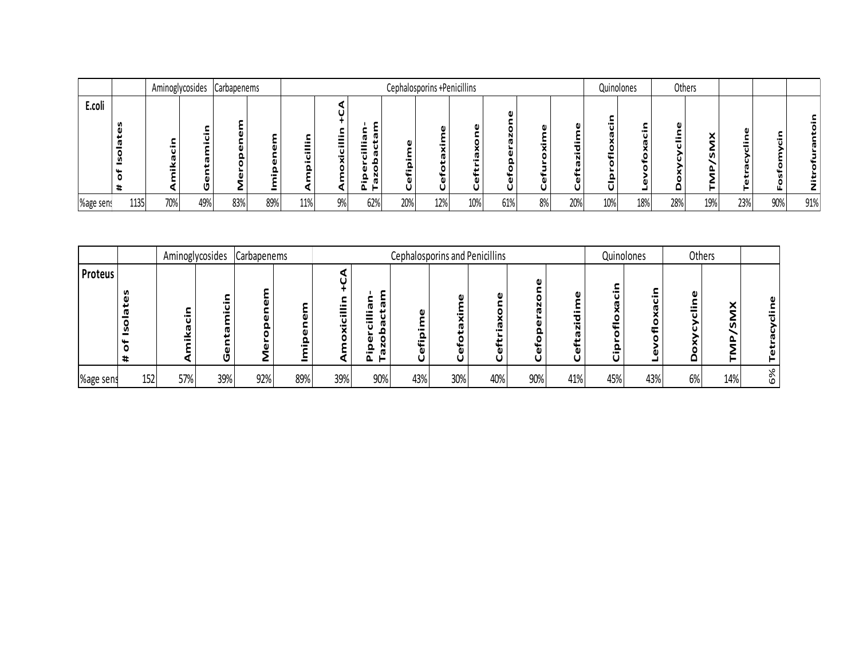|           |      |     | Aminoglycosides | Carbapenems |     |     |    |                    |     | Cephalosporins +Penicillins |        |     |    |     | Quinolones |     | Others |     |     |         |     |
|-----------|------|-----|-----------------|-------------|-----|-----|----|--------------------|-----|-----------------------------|--------|-----|----|-----|------------|-----|--------|-----|-----|---------|-----|
| E.coli    |      |     | U               | c           |     |     |    | ω<br>w<br>о<br>– ⊔ |     |                             | Ē<br>ω |     |    |     |            |     |        | ◚   |     | ъ.<br>╙ | ω   |
| %age sens | 1135 | 70% | 49%             | 83%         | 89% | 11% | 9% | 62%                | 20% | 12%                         | 10%    | 61% | 8% | 20% | 10%        | 18% | 28%    | 19% | 23% | 90%     | 91% |

|                |     | Aminoglycosides |                                       | Carbapenems |                |                                  |                                                                                       | <b>Cephalosporins and Penicillins</b> |        |     |     |     |        | Quinolones |                          | Others |        |
|----------------|-----|-----------------|---------------------------------------|-------------|----------------|----------------------------------|---------------------------------------------------------------------------------------|---------------------------------------|--------|-----|-----|-----|--------|------------|--------------------------|--------|--------|
| <b>Proteus</b> | v   |                 | $\blacksquare$<br>$\blacksquare$<br>o |             | $\blacksquare$ | $\blacksquare$<br>$\blacksquare$ | ω<br>$\overline{\phantom{0}}$<br>$\blacksquare$<br>w<br>$\overline{\phantom{0}}$<br>► | ω<br>₽                                | −<br>U |     |     |     | Ē<br>๛ | −          | $\overline{\phantom{0}}$ | ⌒<br>n |        |
| %age sens      | 152 | 57%             | 39%                                   | 92%         | 89%            | 39%                              | 90%                                                                                   | 43%                                   | 30%    | 40% | 90% | 41% | 45%    | 43%        | 6%                       | 14%    | ℅<br>Ф |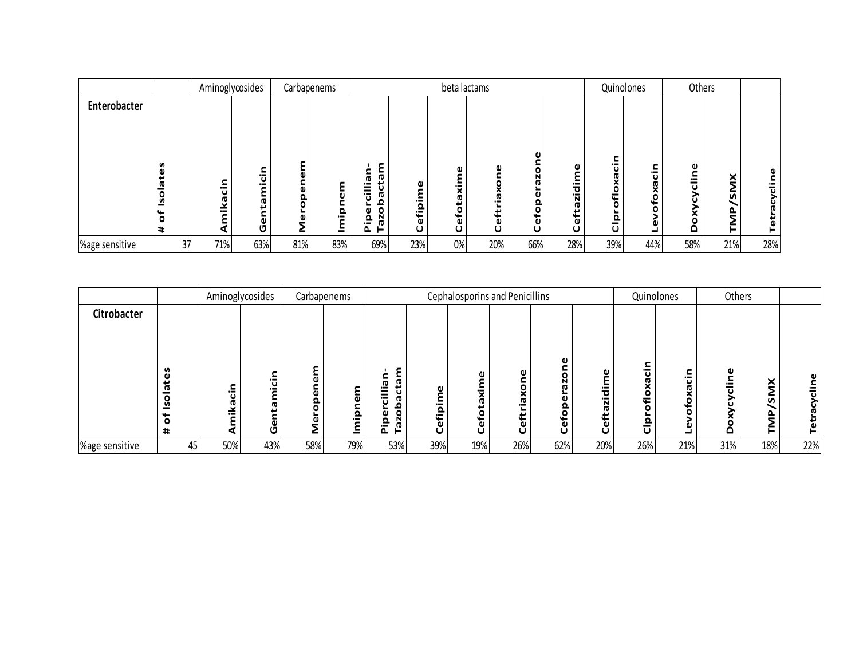|                |                                           | Aminoglycosides |        |     | Carbapenems  |                                                              |                               | beta lactams                 |                                       |                  |                          |                | Quinolones               |        | Others       |     |
|----------------|-------------------------------------------|-----------------|--------|-----|--------------|--------------------------------------------------------------|-------------------------------|------------------------------|---------------------------------------|------------------|--------------------------|----------------|--------------------------|--------|--------------|-----|
| Enterobacter   |                                           |                 |        |     |              |                                                              |                               |                              |                                       |                  |                          |                |                          |        |              |     |
|                | w<br>ω<br>. .<br><b>ID</b><br>n<br>٥<br># | $\bullet$       | π<br>ω | ∠   | 高<br>요.<br>≗ | £.<br>œ<br>. .<br>Ü<br>G.<br>ء<br>20<br><b>G</b><br>Δ.<br>ь. | Φ<br>$\blacksquare$<br>Cefipi | ω<br><br>œ<br>نډ<br>efo<br>ပ | ω<br>o<br>×<br><u>.a</u><br>efti<br>U | ω<br>۰<br>Ğ<br>ပ | $\bullet$<br>τ<br>÷<br>N | $\blacksquare$ | $\overline{\phantom{0}}$ | o<br>- | ×<br>n<br>o. |     |
| %age sensitive | 37                                        | 71%             | 63%    | 81% | 83%          | 69%                                                          | 23%                           | 0%                           | 20%                                   | 66%              | 28%                      | 39%            | 44%                      | 58%    | 21%          | 28% |

|                    |                  | Aminoglycosides |                     |             | Carbapenems                        |                             |                                                   |                                          | Cephalosporins and Penicillins |        |                           |                          | Quinolones | Others            |               |     |
|--------------------|------------------|-----------------|---------------------|-------------|------------------------------------|-----------------------------|---------------------------------------------------|------------------------------------------|--------------------------------|--------|---------------------------|--------------------------|------------|-------------------|---------------|-----|
| <b>Citrobacter</b> | n<br>ω<br>σ<br>٥ |                 | $\blacksquare$<br>ь | c<br>ω<br>௨ | o<br>Ω<br>$\overline{\phantom{0}}$ | ε<br>-<br>$\circ$<br>o<br>௨ | ٥<br>$\overline{\phantom{0}}$<br>$\Omega$<br>efij | Ŕ.<br><b>in</b><br>ت<br>efo <sup>-</sup> | ω<br>⌒<br>₫.<br>eft            | efo    | ω<br>$\bullet$<br>ठ<br>'n | $\overline{\phantom{0}}$ | $-1$       | $\mathbf{\omega}$ | ×<br><b>S</b> |     |
|                    | #                |                 | o                   | c           |                                    | ᇟ<br>►                      | O                                                 | Ū                                        | O                              | $\cup$ | ပ                         |                          |            |                   |               |     |
| %age sensitive     | 45               | 50%             | 43%                 | 58%         | 79%                                | 53%                         | 39%                                               | 19%                                      | 26%                            | 62%    | 20%                       | 26%                      | 21%        | 31%               | 18%           | 22% |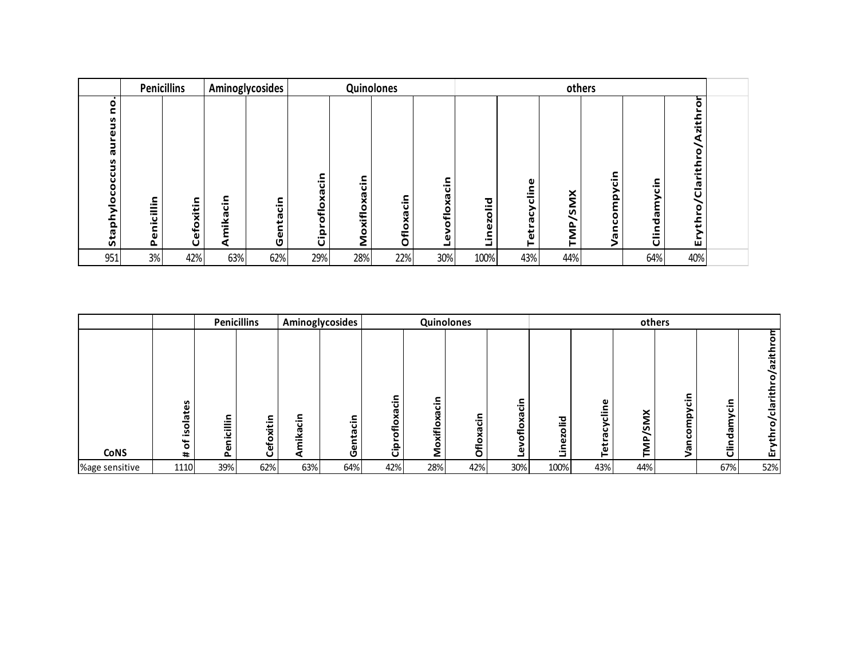|                                                    | <b>Penicillins</b> |                |          | Aminoglycosides |                               |              | Quinolones |                                           |           |              |                                               | others                                              |                    |                                                                    |  |
|----------------------------------------------------|--------------------|----------------|----------|-----------------|-------------------------------|--------------|------------|-------------------------------------------|-----------|--------------|-----------------------------------------------|-----------------------------------------------------|--------------------|--------------------------------------------------------------------|--|
| ۰<br>c<br>reus<br>ne<br>n<br>occu<br>O<br>Staphylo | Penicillin         | xitin<br>Cefo; | Amikacin | Gentacin        | cin<br>ofloxa<br>۰.<br>ق<br>ت | Moxifloxacin | Ofloxacin  | င်္<br>χa<br>$\frac{1}{2}$<br>۰<br>ω<br>┙ | Linezolid | Tetracycline | $\check{\mathsf{z}}$<br>n<br>$\epsilon$<br>⊨. | ء.<br>ت<br>><br>au<br>E<br>$\circ$<br>ပ<br>van<br>S | ء<br>ت<br>Clindamy | ŏ<br>⊾<br>zith<br>⋖<br>$\circ$<br>⊾<br>/Clarith<br>ythro<br>⊾<br>ш |  |
| 951                                                | 3%                 | 42%            | 63%      | 62%             | 29%                           | 28%          | 22%        | 30%                                       | 100%      | 43%          | 44%                                           |                                                     | 64%                | 40%                                                                |  |

|                |                    |                                                  | <b>Penicillins</b> |                          | Aminoglycosides |                                                    |                  | Quinolones              |              |                                         |                                |                             | others                   |                                     |                                                     |
|----------------|--------------------|--------------------------------------------------|--------------------|--------------------------|-----------------|----------------------------------------------------|------------------|-------------------------|--------------|-----------------------------------------|--------------------------------|-----------------------------|--------------------------|-------------------------------------|-----------------------------------------------------|
| <b>CoNS</b>    | n<br><u>ي</u><br># | c<br>ielli<br>L.<br>$\overline{\mathbf{v}}$<br>௳ | Cefoxitin          | ⊆<br><b>ro</b><br>≚<br>⋖ | Ğ<br>Φ<br>Ū     | ς.<br><u>: ე</u><br>χã<br>ما∌<br>$\circ$<br>►<br>å | oxifloxacin<br>Ž | င်္<br>Ř<br><b>Oflo</b> | ._<br>o<br>∓ | ਠ<br>$\cdot$<br>=<br>٥<br>N<br>ω<br>ءِ. | Φ<br>۹ij<br>ں<br>ن<br>œ<br>Tet | SMX<br>$\epsilon$<br>⋍<br>⊢ | ⊆<br>$-$<br>௨<br>o<br>w. | 크.<br>$\overline{c}$<br>œ<br>ъ<br>き | 등<br>azitl<br>$\bullet$<br>/claritl<br>6,<br>둅<br>ш |
| %age sensitive | 1110               | 39%                                              | 62%                | 63%                      | 64%             | 42%                                                | 28%              | 42%                     | 30%          | 100%                                    | 43%                            | 44%                         |                          | 67%                                 | 52%                                                 |